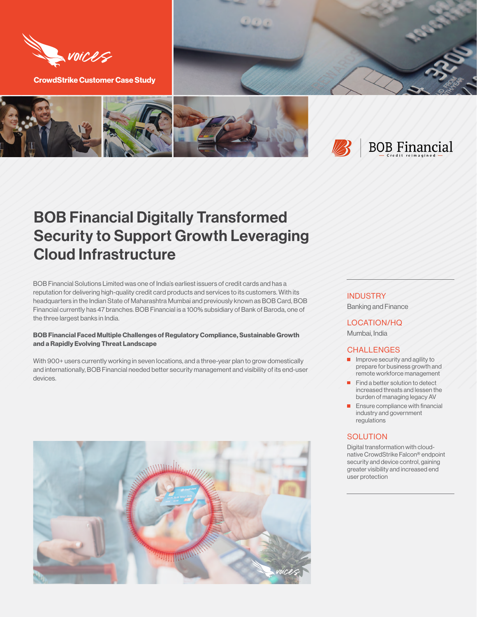

**CrowdStrike Customer Case Study**



# BOB Financial Digitally Transformed Security to Support Growth Leveraging Cloud Infrastructure

BOB Financial Solutions Limited was one of India's earliest issuers of credit cards and has a reputation for delivering high-quality credit card products and services to its customers. With its headquarters in the Indian State of Maharashtra Mumbai and previously known as BOB Card, BOB Financial currently has 47 branches. BOB Financial is a 100% subsidiary of Bank of Baroda, one of the three largest banks in India.

## **BOB Financial Faced Multiple Challenges of Regulatory Compliance, Sustainable Growth and a Rapidly Evolving Threat Landscape**

With 900+ users currently working in seven locations, and a three-year plan to grow domestically and internationally, BOB Financial needed better security management and visibility of its end-user devices.



# **INDUSTRY**

Banking and Finance

LOCATION/HQ Mumbai, India

#### **CHALLENGES**

- $\blacksquare$  Improve security and agility to prepare for business growth and remote workforce management
- Find a better solution to detect increased threats and lessen the burden of managing legacy AV
- $\blacksquare$  Ensure compliance with financial industry and government regulations

# **SOLUTION**

Digital transformation with cloudnative CrowdStrike Falcon® endpoint security and device control, gaining greater visibility and increased end user protection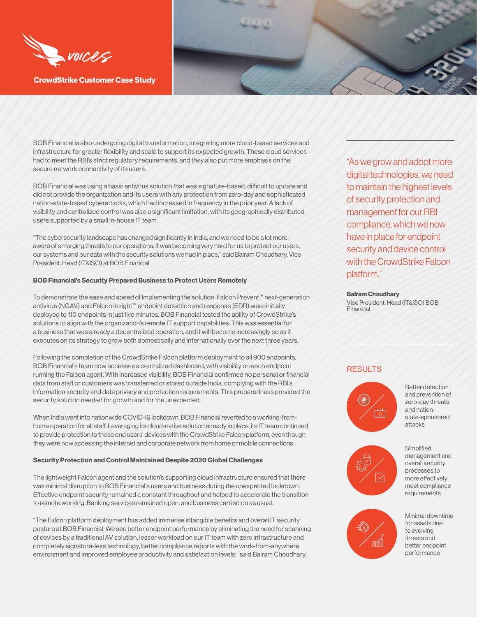

**CrowdStrike Customer Case Study**

BOB Financial is also undergoing digital transformation, integrating more cloud-based services and infrastructure for greater flexibility and scale to support its expected growth. These cloud services had to meet the RBI's strict regulatory requirements, and they also put more emphasis on the secure network connectivity of its users.

BOB Financial was using a basic antivirus solution that was signature-based, difficult to update and did not provide the organization and its users with any protection from zero-day and sophisticated nation-state-based cyberattacks, which had increased in frequency in the prior year. A lack of visibility and centralized control was also a significant limitation, with its geographically distributed users supported by a small in-house IT team.

"The cybersecurity landscape has changed significantly in India, and we need to be a lot more aware of emerging threats to our operations. It was becoming very hard for us to protect our users, our systems and our data with the security solutions we had in place," said Balram Choudhary, Vice President, Head (IT&ISO) at BOB Financial.

## **BOB Financial's Security Prepared Business to Protect Users Remotely**

To demonstrate the ease and speed of implementing the solution, Falcon Prevent™ next-generation antivirus (NGAV) and Falcon Insight™ endpoint detection and response (EDR) were initially deployed to 110 endpoints in just five minutes. BOB Financial tested the ability of CrowdStrike's solutions to align with the organization's remote IT support capabilities. This was essential for a business that was already a decentralized operation, and it will become increasingly so as it executes on its strategy to grow both domestically and internationally over the next three years.

Following the completion of the CrowdStrike Falcon platform deployment to all 900 endpoints, BOB Financial's team now accesses a centralized dashboard, with visibility on each endpoint running the Falcon agent. With increased visibility, BOB Financial confirmed no personal or financial data from staff or customers was transferred or stored outside India, complying with the RBI's information security and data privacy and protection requirements. This preparedness provided the security solution needed for growth and for the unexpected.

When India went into nationwide COVID-19 lockdown, BOB Financial reverted to a working-fromhome operation for all staff. Leveraging its cloud-native solution already in place, its IT team continued to provide protection to these end users' devices with the CrowdStrike Falcon platform, even though they were now accessing the internet and corporate network from home or mobile connections.

#### **Security Protection and Control Maintained Despite 2020 Global Challenges**

The lightweight Falcon agent and the solution's supporting cloud infrastructure ensured that there was minimal disruption to BOB Financial's users and business during the unexpected lockdown. Effective endpoint security remained a constant throughout and helped to accelerate the transition to remote working. Banking services remained open, and business carried on as usual.

"The Falcon platform deployment has added immense intangible benefits and overall IT security posture at BOB Financial. We see better endpoint performance by eliminating the need for scanning of devices by a traditional AV solution, lesser workload on our IT team with zero infrastructure and completely signature-less technology, better compliance reports with the work-from-anywhere environment and improved employee productivity and satisfaction levels," said Balram Choudhary.

"As we grow and adopt more digital technologies, we need to maintain the highest levels of security protection and management for our RBI compliance, which we now have in place for endpoint security and device control with the CrowdStrike Falcon platform."

#### **Balram Choudhary**

Vice President, Head (IT&ISO) BOB Financial

# RESULTS







**Simplified** management and overall security processes to more effectively meet compliance requirements



Minimal downtime for assets due to evolving threats and better endpoint performance